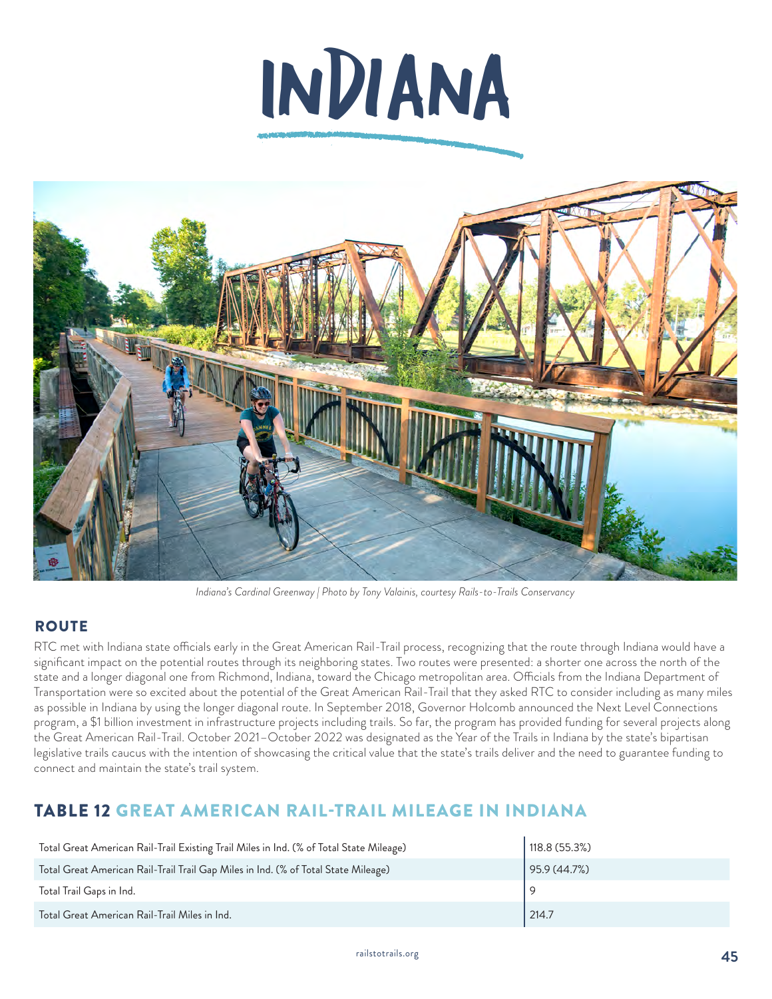



*Indiana's Cardinal Greenway | Photo by Tony Valainis, courtesy Rails-to-Trails Conservancy*

#### **ROUTE**

RTC met with Indiana state officials early in the Great American Rail-Trail process, recognizing that the route through Indiana would have a significant impact on the potential routes through its neighboring states. Two routes were presented: a shorter one across the north of the state and a longer diagonal one from Richmond, Indiana, toward the Chicago metropolitan area. Officials from the Indiana Department of Transportation were so excited about the potential of the Great American Rail-Trail that they asked RTC to consider including as many miles as possible in Indiana by using the longer diagonal route. In September 2018, Governor Holcomb announced the Next Level Connections program, a \$1 billion investment in infrastructure projects including trails. So far, the program has provided funding for several projects along the Great American Rail-Trail. October 2021–October 2022 was designated as the Year of the Trails in Indiana by the state's bipartisan legislative trails caucus with the intention of showcasing the critical value that the state's trails deliver and the need to guarantee funding to connect and maintain the state's trail system.

## TABLE 12 GREAT AMERICAN RAIL-TRAIL MILEAGE IN INDIANA

| Total Great American Rail-Trail Existing Trail Miles in Ind. (% of Total State Mileage) | 118.8 (55.3%) |
|-----------------------------------------------------------------------------------------|---------------|
| Total Great American Rail-Trail Trail Gap Miles in Ind. (% of Total State Mileage)      | 95.9(44.7%)   |
| Total Trail Gaps in Ind.                                                                |               |
| Total Great American Rail-Trail Miles in Ind.                                           | 214.7         |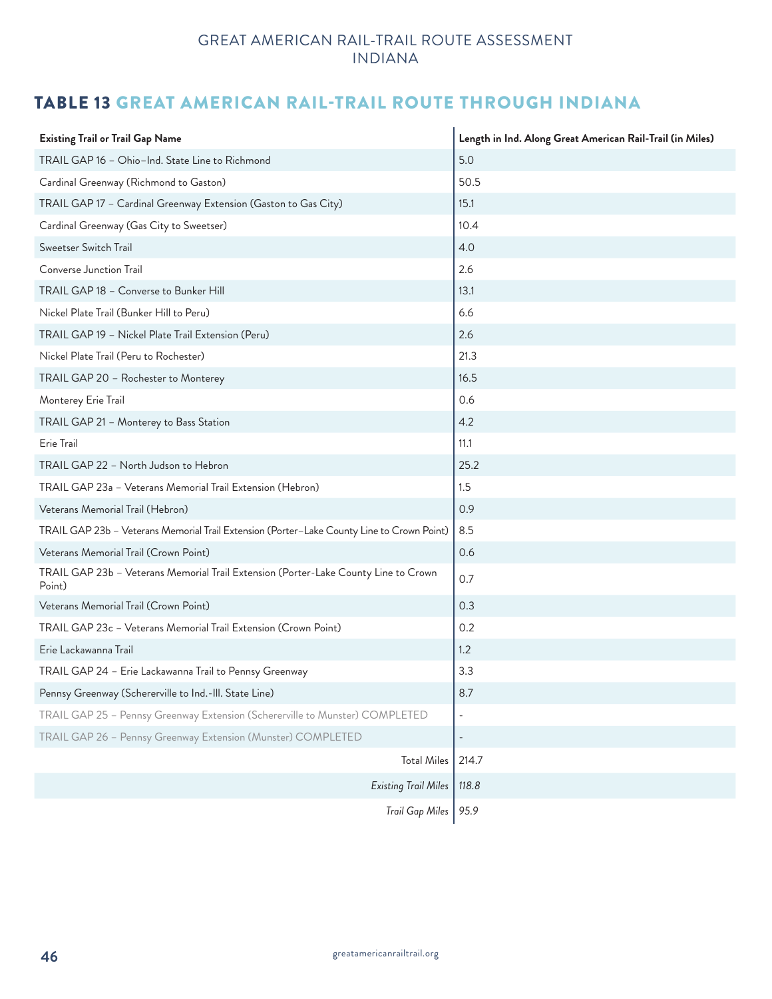# TABLE 13 GREAT AMERICAN RAIL-TRAIL ROUTE THROUGH INDIANA

| <b>Existing Trail or Trail Gap Name</b>                                                       | Length in Ind. Along Great American Rail-Trail (in Miles) |
|-----------------------------------------------------------------------------------------------|-----------------------------------------------------------|
| TRAIL GAP 16 - Ohio-Ind. State Line to Richmond                                               | 5.0                                                       |
| Cardinal Greenway (Richmond to Gaston)                                                        | 50.5                                                      |
| TRAIL GAP 17 - Cardinal Greenway Extension (Gaston to Gas City)                               | 15.1                                                      |
| Cardinal Greenway (Gas City to Sweetser)                                                      | 10.4                                                      |
| Sweetser Switch Trail                                                                         | 4.0                                                       |
| Converse Junction Trail                                                                       | 2.6                                                       |
| TRAIL GAP 18 - Converse to Bunker Hill                                                        | 13.1                                                      |
| Nickel Plate Trail (Bunker Hill to Peru)                                                      | 6.6                                                       |
| TRAIL GAP 19 - Nickel Plate Trail Extension (Peru)                                            | 2.6                                                       |
| Nickel Plate Trail (Peru to Rochester)                                                        | 21.3                                                      |
| TRAIL GAP 20 - Rochester to Monterey                                                          | 16.5                                                      |
| Monterey Erie Trail                                                                           | 0.6                                                       |
| TRAIL GAP 21 - Monterey to Bass Station                                                       | 4.2                                                       |
| Erie Trail                                                                                    | 11.1                                                      |
| TRAIL GAP 22 - North Judson to Hebron                                                         | 25.2                                                      |
| TRAIL GAP 23a - Veterans Memorial Trail Extension (Hebron)                                    | 1.5                                                       |
| Veterans Memorial Trail (Hebron)                                                              | 0.9                                                       |
| TRAIL GAP 23b - Veterans Memorial Trail Extension (Porter-Lake County Line to Crown Point)    | 8.5                                                       |
| Veterans Memorial Trail (Crown Point)                                                         | 0.6                                                       |
| TRAIL GAP 23b - Veterans Memorial Trail Extension (Porter-Lake County Line to Crown<br>Point) | 0.7                                                       |
| Veterans Memorial Trail (Crown Point)                                                         | 0.3                                                       |
| TRAIL GAP 23c - Veterans Memorial Trail Extension (Crown Point)                               | 0.2                                                       |
| Erie Lackawanna Trail                                                                         | 1.2                                                       |
| TRAIL GAP 24 - Erie Lackawanna Trail to Pennsy Greenway                                       | 3.3                                                       |
| Pennsy Greenway (Schererville to Ind.-III. State Line)                                        | 8.7                                                       |
| TRAIL GAP 25 - Pennsy Greenway Extension (Schererville to Munster) COMPLETED                  |                                                           |
| TRAIL GAP 26 - Pennsy Greenway Extension (Munster) COMPLETED                                  |                                                           |
| <b>Total Miles</b>                                                                            | 214.7                                                     |
| <b>Existing Trail Miles</b>                                                                   | 118.8                                                     |
| Trail Gap Miles                                                                               | 95.9                                                      |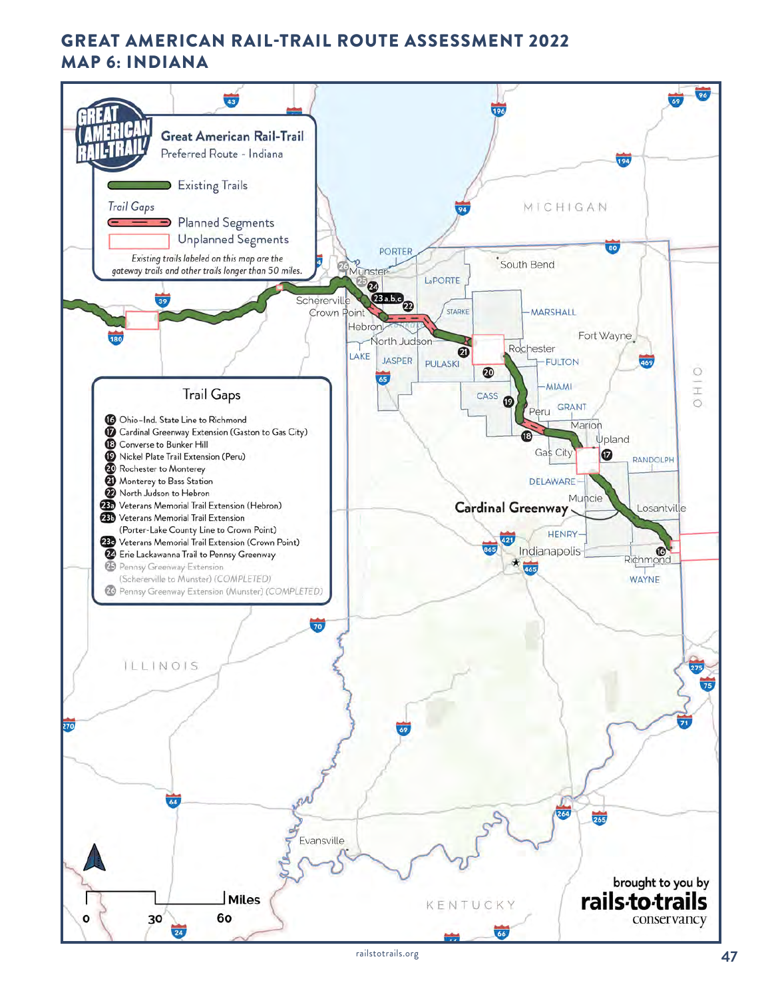# GREAT AMERICAN RAIL-TRAIL ROUTE ASSESSMENT 2022 MAP 6: INDIANA

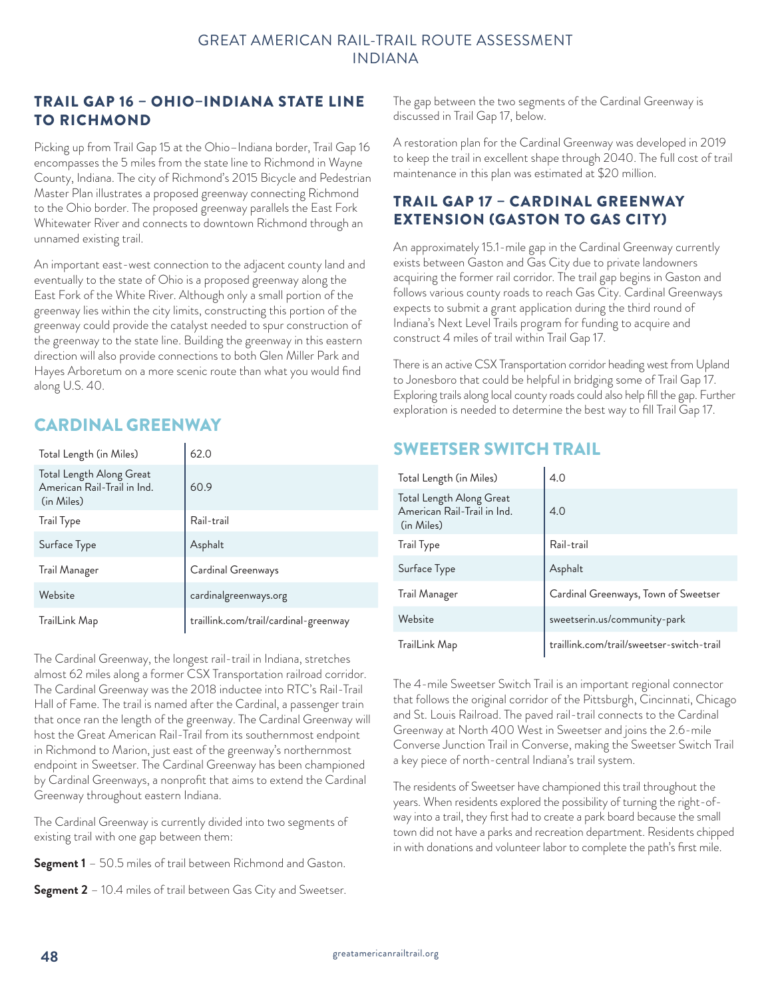#### TRAIL GAP 16 – OHIO–INDIANA STATE LINE TO RICHMOND

Picking up from Trail Gap 15 at the Ohio–Indiana border, Trail Gap 16 encompasses the 5 miles from the state line to Richmond in Wayne County, Indiana. The city of Richmond's 2015 Bicycle and Pedestrian Master Plan illustrates a proposed greenway connecting Richmond to the Ohio border. The proposed greenway parallels the East Fork Whitewater River and connects to downtown Richmond through an unnamed existing trail.

An important east-west connection to the adjacent county land and eventually to the state of Ohio is a proposed greenway along the East Fork of the White River. Although only a small portion of the greenway lies within the city limits, constructing this portion of the greenway could provide the catalyst needed to spur construction of the greenway to the state line. Building the greenway in this eastern direction will also provide connections to both Glen Miller Park and Hayes Arboretum on a more scenic route than what you would find along U.S. 40.

# CARDINAL GREENWAY

| Total Length (in Miles)                                               | 62.0                                  |
|-----------------------------------------------------------------------|---------------------------------------|
| Total Length Along Great<br>American Rail-Trail in Ind.<br>(in Miles) | 60.9                                  |
| Trail Type                                                            | Rail-trail                            |
| Surface Type                                                          | Asphalt                               |
| Trail Manager                                                         | Cardinal Greenways                    |
| Website                                                               | cardinalgreenways.org                 |
| TrailLink Map                                                         | traillink.com/trail/cardinal-greenway |

The Cardinal Greenway, the longest rail-trail in Indiana, stretches almost 62 miles along a former CSX Transportation railroad corridor. The Cardinal Greenway was the 2018 inductee into RTC's Rail-Trail Hall of Fame. The trail is named after the Cardinal, a passenger train that once ran the length of the greenway. The Cardinal Greenway will host the Great American Rail-Trail from its southernmost endpoint in Richmond to Marion, just east of the greenway's northernmost endpoint in Sweetser. The Cardinal Greenway has been championed by Cardinal Greenways, a nonprofit that aims to extend the Cardinal Greenway throughout eastern Indiana.

The Cardinal Greenway is currently divided into two segments of existing trail with one gap between them:

**Segment 1** – 50.5 miles of trail between Richmond and Gaston.

**Segment 2** – 10.4 miles of trail between Gas City and Sweetser.

The gap between the two segments of the Cardinal Greenway is discussed in Trail Gap 17, below.

A restoration plan for the Cardinal Greenway was developed in 2019 to keep the trail in excellent shape through 2040. The full cost of trail maintenance in this plan was estimated at \$20 million.

### TRAIL GAP 17 – CARDINAL GREENWAY EXTENSION (GASTON TO GAS CITY)

An approximately 15.1-mile gap in the Cardinal Greenway currently exists between Gaston and Gas City due to private landowners acquiring the former rail corridor. The trail gap begins in Gaston and follows various county roads to reach Gas City. Cardinal Greenways expects to submit a grant application during the third round of Indiana's Next Level Trails program for funding to acquire and construct 4 miles of trail within Trail Gap 17.

There is an active CSX Transportation corridor heading west from Upland to Jonesboro that could be helpful in bridging some of Trail Gap 17. Exploring trails along local county roads could also help fill the gap. Further exploration is needed to determine the best way to fill Trail Gap 17.

# SWEETSER SWITCH TRAIL

| Total Length (in Miles)                                               | 4.0                                       |
|-----------------------------------------------------------------------|-------------------------------------------|
| Total Length Along Great<br>American Rail-Trail in Ind.<br>(in Miles) | 4.0                                       |
| Trail Type                                                            | $\label{eq:real}$ Rail-trail              |
| Surface Type                                                          | Asphalt                                   |
| Trail Manager                                                         | Cardinal Greenways, Town of Sweetser      |
| Website                                                               | sweetserin.us/community-park              |
| TrailLink Map                                                         | traillink.com/trail/sweetser-switch-trail |

The 4-mile Sweetser Switch Trail is an important regional connector that follows the original corridor of the Pittsburgh, Cincinnati, Chicago and St. Louis Railroad. The paved rail-trail connects to the Cardinal Greenway at North 400 West in Sweetser and joins the 2.6-mile Converse Junction Trail in Converse, making the Sweetser Switch Trail a key piece of north-central Indiana's trail system.

The residents of Sweetser have championed this trail throughout the years. When residents explored the possibility of turning the right-ofway into a trail, they first had to create a park board because the small town did not have a parks and recreation department. Residents chipped in with donations and volunteer labor to complete the path's first mile.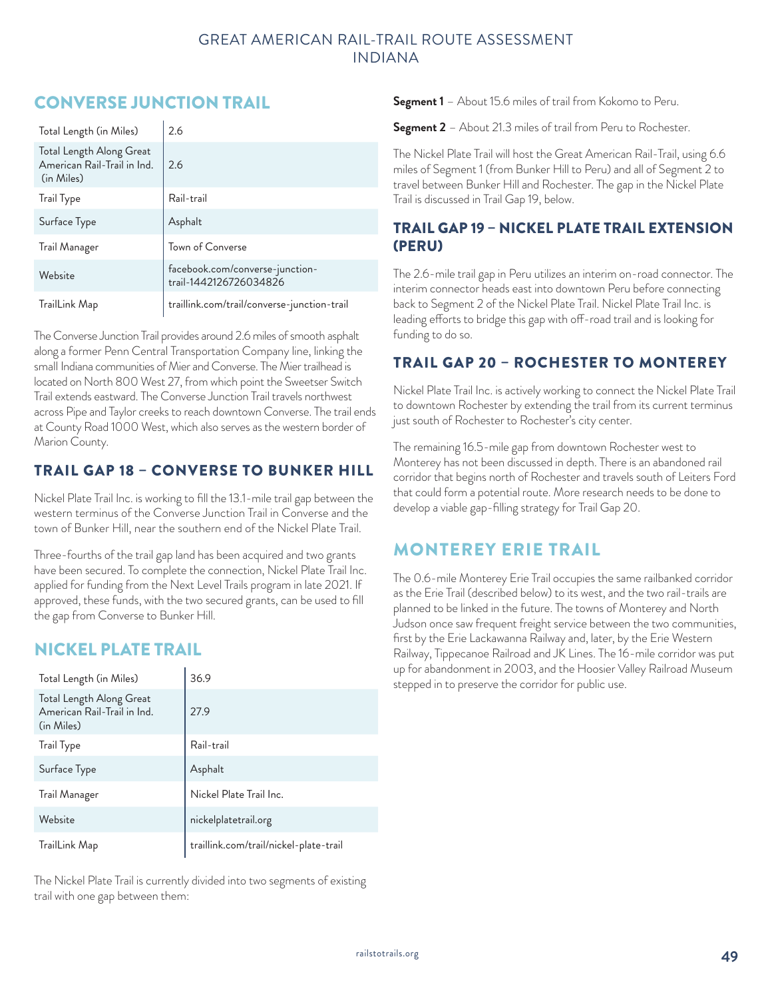# CONVERSE JUNCTION TRAIL

| Total Length (in Miles)                                               | 2.6                                                       |
|-----------------------------------------------------------------------|-----------------------------------------------------------|
| Total Length Along Great<br>American Rail-Trail in Ind.<br>(in Miles) | 2.6                                                       |
| <b>Trail Type</b>                                                     | Rail-trail                                                |
| Surface Type                                                          | Asphalt                                                   |
| Trail Manager                                                         | Town of Converse                                          |
| Website                                                               | facebook.com/converse-junction-<br>trail-1442126726034826 |
| TrailLink Map                                                         | traillink.com/trail/converse-junction-trail               |

The Converse Junction Trail provides around 2.6 miles of smooth asphalt along a former Penn Central Transportation Company line, linking the small Indiana communities of Mier and Converse. The Mier trailhead is located on North 800 West 27, from which point the Sweetser Switch Trail extends eastward. The Converse Junction Trail travels northwest across Pipe and Taylor creeks to reach downtown Converse. The trail ends at County Road 1000 West, which also serves as the western border of Marion County.

## TRAIL GAP 18 – CONVERSE TO BUNKER HILL

Nickel Plate Trail Inc. is working to fill the 13.1-mile trail gap between the western terminus of the Converse Junction Trail in Converse and the town of Bunker Hill, near the southern end of the Nickel Plate Trail.

Three-fourths of the trail gap land has been acquired and two grants have been secured. To complete the connection, Nickel Plate Trail Inc. applied for funding from the Next Level Trails program in late 2021. If approved, these funds, with the two secured grants, can be used to fill the gap from Converse to Bunker Hill.

# NICKEL PLATE TRAIL

| Total Length (in Miles)                                               | 36.9                                   |
|-----------------------------------------------------------------------|----------------------------------------|
| Total Length Along Great<br>American Rail-Trail in Ind.<br>(in Miles) | 27.9                                   |
| Trail Type                                                            | Rail-trail                             |
| Surface Type                                                          | Asphalt                                |
| Trail Manager                                                         | Nickel Plate Trail Inc.                |
| Website                                                               | nickelplatetrail.org                   |
| TrailLink Map                                                         | traillink.com/trail/nickel-plate-trail |

The Nickel Plate Trail is currently divided into two segments of existing trail with one gap between them:

**Segment 1** – About 15.6 miles of trail from Kokomo to Peru.

**Segment 2** – About 21.3 miles of trail from Peru to Rochester.

The Nickel Plate Trail will host the Great American Rail-Trail, using 6.6 miles of Segment 1 (from Bunker Hill to Peru) and all of Segment 2 to travel between Bunker Hill and Rochester. The gap in the Nickel Plate Trail is discussed in Trail Gap 19, below.

### TRAIL GAP 19 – NICKEL PLATE TRAIL EXTENSION (PERU)

The 2.6-mile trail gap in Peru utilizes an interim on-road connector. The interim connector heads east into downtown Peru before connecting back to Segment 2 of the Nickel Plate Trail. Nickel Plate Trail Inc. is leading efforts to bridge this gap with off-road trail and is looking for funding to do so.

### TRAIL GAP 20 – ROCHESTER TO MONTEREY

Nickel Plate Trail Inc. is actively working to connect the Nickel Plate Trail to downtown Rochester by extending the trail from its current terminus just south of Rochester to Rochester's city center.

The remaining 16.5-mile gap from downtown Rochester west to Monterey has not been discussed in depth. There is an abandoned rail corridor that begins north of Rochester and travels south of Leiters Ford that could form a potential route. More research needs to be done to develop a viable gap-filling strategy for Trail Gap 20.

## MONTEREY ERIE TRAIL

The 0.6-mile Monterey Erie Trail occupies the same railbanked corridor as the Erie Trail (described below) to its west, and the two rail-trails are planned to be linked in the future. The towns of Monterey and North Judson once saw frequent freight service between the two communities, first by the Erie Lackawanna Railway and, later, by the Erie Western Railway, Tippecanoe Railroad and JK Lines. The 16-mile corridor was put up for abandonment in 2003, and the Hoosier Valley Railroad Museum stepped in to preserve the corridor for public use.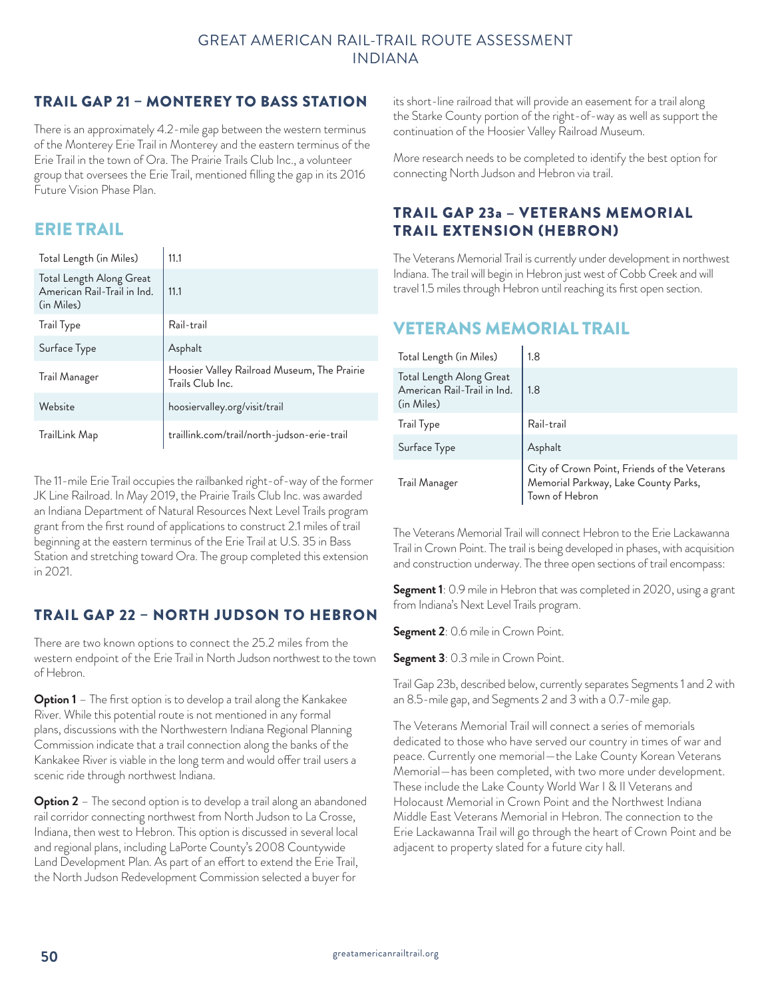### TRAIL GAP 21 – MONTEREY TO BASS STATION

There is an approximately 4.2-mile gap between the western terminus of the Monterey Erie Trail in Monterey and the eastern terminus of the Erie Trail in the town of Ora. The Prairie Trails Club Inc., a volunteer group that oversees the Erie Trail, mentioned filling the gap in its 2016 Future Vision Phase Plan.

## ERIE TRAIL

| Total Length (in Miles)                                               | 11.1                                                            |
|-----------------------------------------------------------------------|-----------------------------------------------------------------|
| Total Length Along Great<br>American Rail-Trail in Ind.<br>(in Miles) | 11.1                                                            |
| Trail Type                                                            | Rail-trail                                                      |
| Surface Type                                                          | Asphalt                                                         |
| Trail Manager                                                         | Hoosier Valley Railroad Museum, The Prairie<br>Trails Club Inc. |
| Website                                                               | hoosiervalley.org/visit/trail                                   |
| TrailLink Map                                                         | traillink.com/trail/north-judson-erie-trail                     |

The 11-mile Erie Trail occupies the railbanked right-of-way of the former JK Line Railroad. In May 2019, the Prairie Trails Club Inc. was awarded an Indiana Department of Natural Resources Next Level Trails program grant from the first round of applications to construct 2.1 miles of trail beginning at the eastern terminus of the Erie Trail at U.S. 35 in Bass Station and stretching toward Ora. The group completed this extension in 2021.

## TRAIL GAP 22 – NORTH JUDSON TO HEBRON

There are two known options to connect the 25.2 miles from the western endpoint of the Erie Trail in North Judson northwest to the town of Hebron.

**Option 1** – The first option is to develop a trail along the Kankakee River. While this potential route is not mentioned in any formal plans, discussions with the Northwestern Indiana Regional Planning Commission indicate that a trail connection along the banks of the Kankakee River is viable in the long term and would offer trail users a scenic ride through northwest Indiana.

**Option 2** – The second option is to develop a trail along an abandoned rail corridor connecting northwest from North Judson to La Crosse, Indiana, then west to Hebron. This option is discussed in several local and regional plans, including LaPorte County's 2008 Countywide Land Development Plan. As part of an effort to extend the Erie Trail, the North Judson Redevelopment Commission selected a buyer for

its short-line railroad that will provide an easement for a trail along the Starke County portion of the right-of-way as well as support the continuation of the Hoosier Valley Railroad Museum.

More research needs to be completed to identify the best option for connecting North Judson and Hebron via trail.

### TRAIL GAP 23a – VETERANS MEMORIAL TRAIL EXTENSION (HEBRON)

The Veterans Memorial Trail is currently under development in northwest Indiana. The trail will begin in Hebron just west of Cobb Creek and will travel 1.5 miles through Hebron until reaching its first open section.

## VETERANS MEMORIAL TRAIL

| Total Length (in Miles)                                               | 1.8                                                                                                    |
|-----------------------------------------------------------------------|--------------------------------------------------------------------------------------------------------|
| Total Length Along Great<br>American Rail-Trail in Ind.<br>(in Miles) | 1.8                                                                                                    |
| Trail Type                                                            | Rail-trail                                                                                             |
| Surface Type                                                          | Asphalt                                                                                                |
| Trail Manager                                                         | City of Crown Point, Friends of the Veterans<br>Memorial Parkway, Lake County Parks,<br>Town of Hebron |

The Veterans Memorial Trail will connect Hebron to the Erie Lackawanna Trail in Crown Point. The trail is being developed in phases, with acquisition and construction underway. The three open sections of trail encompass:

**Segment 1**: 0.9 mile in Hebron that was completed in 2020, using a grant from Indiana's Next Level Trails program.

**Segment 2**: 0.6 mile in Crown Point.

**Segment 3**: 0.3 mile in Crown Point.

Trail Gap 23b, described below, currently separates Segments 1 and 2 with an 8.5-mile gap, and Segments 2 and 3 with a 0.7-mile gap.

The Veterans Memorial Trail will connect a series of memorials dedicated to those who have served our country in times of war and peace. Currently one memorial—the Lake County Korean Veterans Memorial—has been completed, with two more under development. These include the Lake County World War I & II Veterans and Holocaust Memorial in Crown Point and the Northwest Indiana Middle East Veterans Memorial in Hebron. The connection to the Erie Lackawanna Trail will go through the heart of Crown Point and be adjacent to property slated for a future city hall.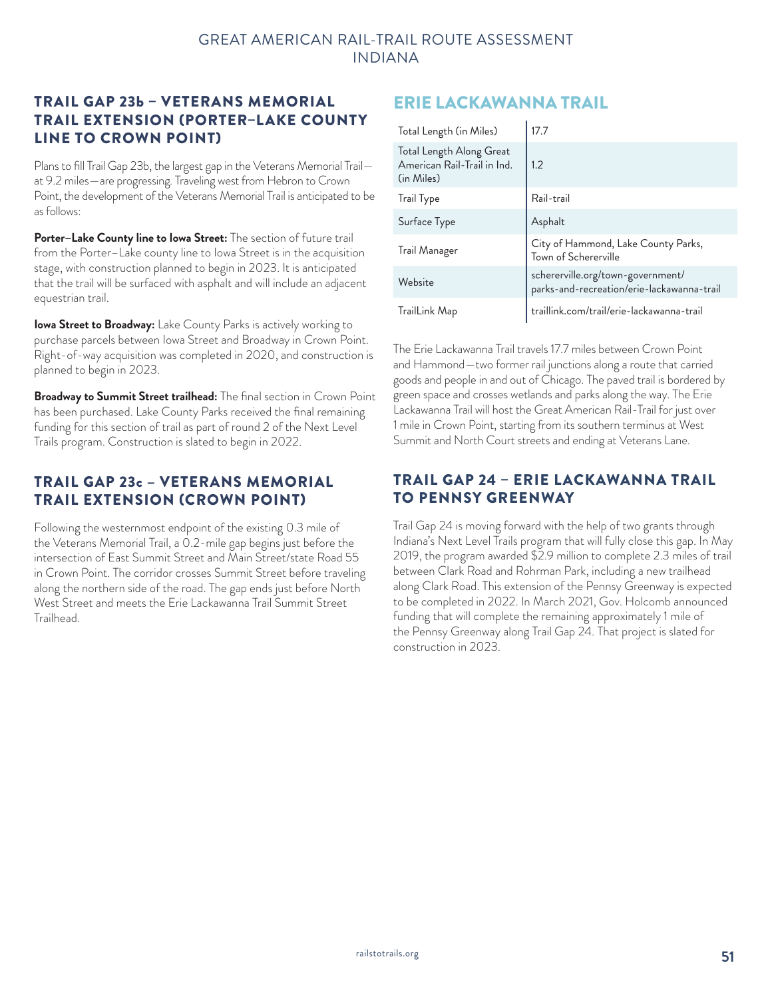### TRAIL GAP 23b – VETERANS MEMORIAL TRAIL EXTENSION (PORTER–LAKE COUNTY LINE TO CROWN POINT)

Plans to fill Trail Gap 23b, the largest gap in the Veterans Memorial Trail at 9.2 miles—are progressing. Traveling west from Hebron to Crown Point, the development of the Veterans Memorial Trail is anticipated to be as follows:

**Porter–Lake County line to Iowa Street:** The section of future trail from the Porter–Lake county line to Iowa Street is in the acquisition stage, with construction planned to begin in 2023. It is anticipated that the trail will be surfaced with asphalt and will include an adjacent equestrian trail.

**Iowa Street to Broadway:** Lake County Parks is actively working to purchase parcels between Iowa Street and Broadway in Crown Point. Right-of-way acquisition was completed in 2020, and construction is planned to begin in 2023.

**Broadway to Summit Street trailhead:** The final section in Crown Point has been purchased. Lake County Parks received the final remaining funding for this section of trail as part of round 2 of the Next Level Trails program. Construction is slated to begin in 2022.

### TRAIL GAP 23c – VETERANS MEMORIAL TRAIL EXTENSION (CROWN POINT)

Following the westernmost endpoint of the existing 0.3 mile of the Veterans Memorial Trail, a 0.2-mile gap begins just before the intersection of East Summit Street and Main Street/state Road 55 in Crown Point. The corridor crosses Summit Street before traveling along the northern side of the road. The gap ends just before North West Street and meets the Erie Lackawanna Trail Summit Street Trailhead.

# ERIE LACKAWANNA TRAIL

| Total Length (in Miles)                                               | 17.7                                                                            |
|-----------------------------------------------------------------------|---------------------------------------------------------------------------------|
| Total Length Along Great<br>American Rail-Trail in Ind.<br>(in Miles) | 1.2                                                                             |
| <b>Trail Type</b>                                                     | Rail-trail                                                                      |
| Surface Type                                                          | Asphalt                                                                         |
| Trail Manager                                                         | City of Hammond, Lake County Parks,<br>Town of Schererville                     |
| Website                                                               | schererville.org/town-government/<br>parks-and-recreation/erie-lackawanna-trail |
| TrailLink Map                                                         | traillink.com/trail/erie-lackawanna-trail                                       |

The Erie Lackawanna Trail travels 17.7 miles between Crown Point and Hammond—two former rail junctions along a route that carried goods and people in and out of Chicago. The paved trail is bordered by green space and crosses wetlands and parks along the way. The Erie Lackawanna Trail will host the Great American Rail-Trail for just over 1 mile in Crown Point, starting from its southern terminus at West Summit and North Court streets and ending at Veterans Lane.

### TRAIL GAP 24 – ERIE LACKAWANNA TRAIL TO PENNSY GREENWAY

Trail Gap 24 is moving forward with the help of two grants through Indiana's Next Level Trails program that will fully close this gap. In May 2019, the program awarded \$2.9 million to complete 2.3 miles of trail between Clark Road and Rohrman Park, including a new trailhead along Clark Road. This extension of the Pennsy Greenway is expected to be completed in 2022. In March 2021, Gov. Holcomb announced funding that will complete the remaining approximately 1 mile of the Pennsy Greenway along Trail Gap 24. That project is slated for construction in 2023.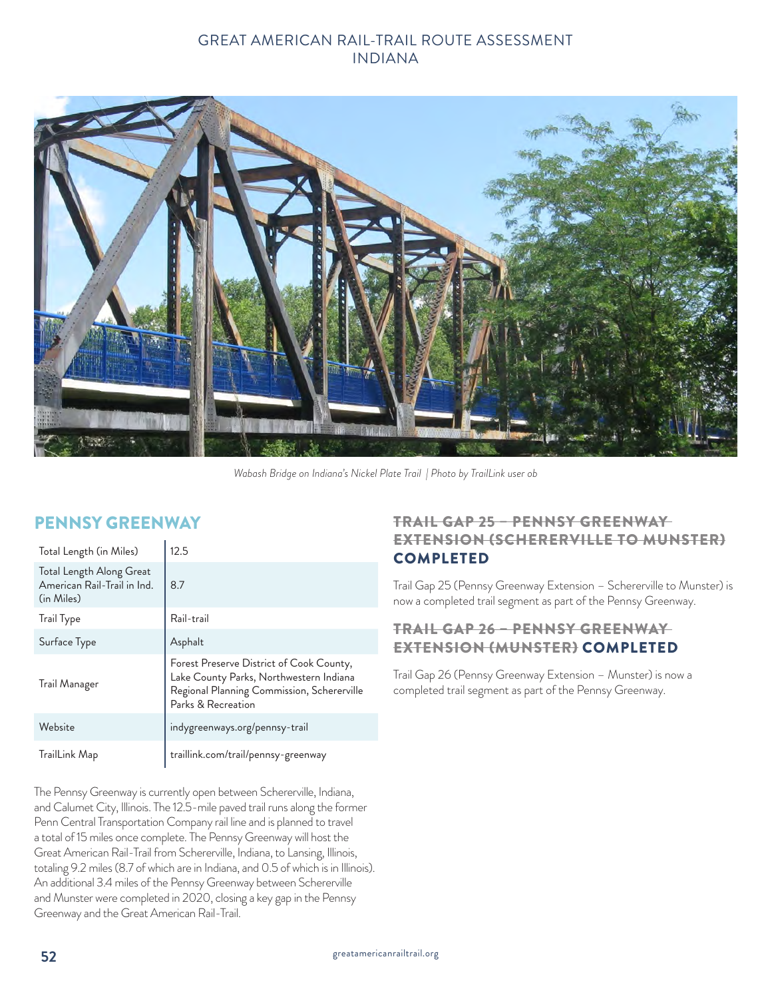

*Wabash Bridge on Indiana's Nickel Plate Trail | Photo by TrailLink user ob*

## PENNSY GREENWAY

| Total Length (in Miles)                                               | 12.5                                                                                                                                                    |
|-----------------------------------------------------------------------|---------------------------------------------------------------------------------------------------------------------------------------------------------|
| Total Length Along Great<br>American Rail-Trail in Ind.<br>(in Miles) | 8.7                                                                                                                                                     |
| <b>Trail Type</b>                                                     | Rail-trail                                                                                                                                              |
| Surface Type                                                          | Asphalt                                                                                                                                                 |
| Trail Manager                                                         | Forest Preserve District of Cook County,<br>Lake County Parks, Northwestern Indiana<br>Regional Planning Commission, Schererville<br>Parks & Recreation |
| Website                                                               | indygreenways.org/pennsy-trail                                                                                                                          |
| TrailLink Map                                                         | traillink.com/trail/pennsy-greenway                                                                                                                     |

The Pennsy Greenway is currently open between Schererville, Indiana, and Calumet City, Illinois. The 12.5-mile paved trail runs along the former Penn Central Transportation Company rail line and is planned to travel a total of 15 miles once complete. The Pennsy Greenway will host the Great American Rail-Trail from Schererville, Indiana, to Lansing, Illinois, totaling 9.2 miles (8.7 of which are in Indiana, and 0.5 of which is in Illinois). An additional 3.4 miles of the Pennsy Greenway between Schererville and Munster were completed in 2020, closing a key gap in the Pennsy Greenway and the Great American Rail-Trail.

#### TRAIL GAP 25 – PENNSY GREENWAY EXTENSION (SCHERERVILLE TO MUNSTER) COMPLETED

Trail Gap 25 (Pennsy Greenway Extension – Schererville to Munster) is now a completed trail segment as part of the Pennsy Greenway.

#### TRAIL GAP 26 – PENNSY GREENWAY EXTENSION (MUNSTER) COMPLETED

Trail Gap 26 (Pennsy Greenway Extension – Munster) is now a completed trail segment as part of the Pennsy Greenway.